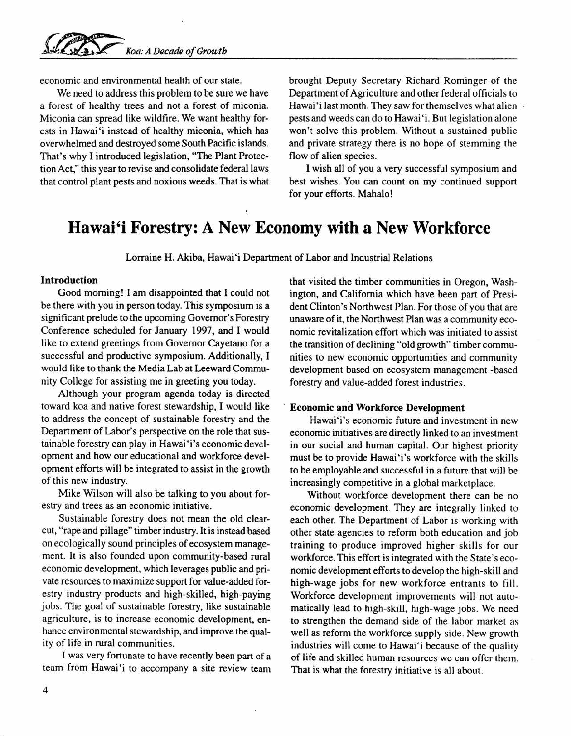economic and environmental health of our state.

We need to address this problem to be sure we have a forest of healthy trees and not a forest of miconia. Miconia can spread like wildfire. We want healthy forests in Hawai'i instead of healthy miconia, which has overwhelmed and destroyed some South Pacific islands. That's why I introduced legislation, "The Plant Protection Act," this year to revise and consolidate federal laws that control plant pests and noxious weeds. That is what

brought Deputy Secretary Richard Rominger of the Department of Agriculture and other federal officials to Hawai'i last month. They saw for themselves what alien pests and weeds can do to Hawai 'i. But legislation alone won't solve this problem. Without a sustained public and private strategy there is no hope of stemming the flow of alien species.

I wish all of you a very successful symposium and best wishes. You can count on my continued support for your efforts. Mahalo!

## **Hawai'i Forestry: A New Economy with a New Workforce**

Lorraine H. Akiba, Hawai'i Department of Labor and Industrial Relations

## **Introduction**

Good morning! I am disappointed that I could not be there with you in person today. This symposium is a significant prelude to the upcoming Governor's Forestry Conference scheduled for January 1997, and I would like to extend greetings from Governor Cayetano for a successful and productive symposium. Additionally, I would like to thank the Media Lab at Leeward Community College for assisting me in greeting you today.

Although your program agenda today is directed toward koa and native forest stewardship, I would like to address the concept of sustainable forestry and the Department of Labor's perspective on the role that sustainable forestry can play in Hawai 'i's economic development and how our educational and workforce development efforts will be integrated to assist in the growth of this new industry.

Mike Wilson will also be talking to you about forestry and trees as an economic initiative.

Sustainable forestry does not mean the old clearcut, "rape and pillage" timber industry. It is instead based on ecologically sound principles of ecosystem management. It is also founded upon community-based rural economic development, which leverages public and private resources to maximize support for value-added forestry industry products and high-skilled, high-paying jobs. The goal of sustainable forestry, like sustainable agriculture, is to increase economic development, enhance environmental stewardship, and improve the quality of life in rural communities.

I was very fortunate to have recently been part of a team from Hawai'i to accompany a site review team that visited the timber communities in Oregon, Washington, and California which have been part of President Clinton's Northwest Plan. For those of you that are unaware of it, the Northwest Plan was a community economic revitalization effort which was initiated to assist the transition of declining "old growth" timber communities to new economic opportunities and community development based on ecosystem management -based forestry and value-added forest industries.

## **Economic and Workforce Development**

Hawai'i's economic future and investment in new economic initiatives are directly linked to an investment in our social and human capital. Our highest priority must be to provide Hawai'i's workforce with the skills to be employable and successful in a future that will be increasingly competitive in a global marketplace.

Without workforce development there can be no economic development. They are integrally linked to each other. The Department of Labor is working with other state agencies to reform both education and job training to produce improved higher skills for our workforce. This effort is integrated with the State's economic development efforts to develop the high-skill and high-wage jobs for new workforce entrants to fill. Workforce development improvements will not automatically lead to high-skill, high-wage jobs. We need to strengthen the demand side of the labor market as well as reform the workforce supply side. New growth industries will come to Hawai'i because of the quality of life and skilled human resources we can offer them. That is what the forestry initiative is all about.